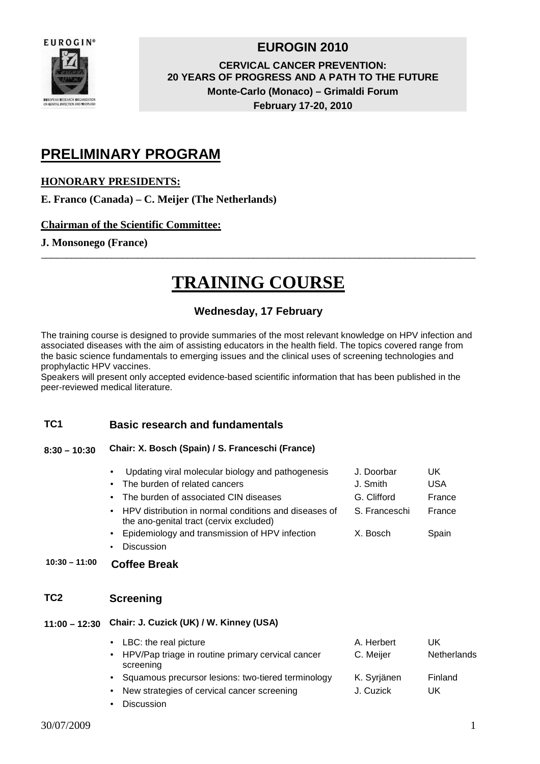

### **EUROGIN 2010**

**CERVICAL CANCER PREVENTION: 20 YEARS OF PROGRESS AND A PATH TO THE FUTURE Monte-Carlo (Monaco) – Grimaldi Forum February 17-20, 2010** 

# **PRELIMINARY PROGRAM**

### **HONORARY PRESIDENTS:**

**E. Franco (Canada) – C. Meijer (The Netherlands)** 

#### **Chairman of the Scientific Committee:**

#### **J. Monsonego (France)**

# **TRAINING COURSE**

\_\_\_\_\_\_\_\_\_\_\_\_\_\_\_\_\_\_\_\_\_\_\_\_\_\_\_\_\_\_\_\_\_\_\_\_\_\_\_\_\_\_\_\_\_\_\_\_\_\_\_\_\_\_\_\_\_\_\_\_\_\_\_\_\_\_\_\_\_\_\_\_\_\_\_\_\_\_\_\_\_\_\_\_\_\_

### **Wednesday, 17 February**

The training course is designed to provide summaries of the most relevant knowledge on HPV infection and associated diseases with the aim of assisting educators in the health field. The topics covered range from the basic science fundamentals to emerging issues and the clinical uses of screening technologies and prophylactic HPV vaccines.

Speakers will present only accepted evidence-based scientific information that has been published in the peer-reviewed medical literature.

#### **TC1 Basic research and fundamentals**

#### **8:30 – 10:30 Chair: X. Bosch (Spain) / S. Franceschi (France)**

| • Updating viral molecular biology and pathogenesis                                                | J. Doorbar    | UK.    |
|----------------------------------------------------------------------------------------------------|---------------|--------|
| • The burden of related cancers                                                                    | J. Smith      | USA    |
| • The burden of associated CIN diseases                                                            | G. Clifford   | France |
| • HPV distribution in normal conditions and diseases of<br>the ano-genital tract (cervix excluded) | S. Franceschi | France |
| • Epidemiology and transmission of HPV infection                                                   | X. Bosch      | Spain  |

• Discussion

### **10:30 – 11:00 Coffee Break**

#### **TC2 Screening**

#### **11:00 – 12:30 Chair: J. Cuzick (UK) / W. Kinney (USA)**

|           | • LBC: the real picture                                          | A. Herbert  | UK          |
|-----------|------------------------------------------------------------------|-------------|-------------|
|           | • HPV/Pap triage in routine primary cervical cancer<br>screening | C. Meijer   | Netherlands |
|           | • Squamous precursor lesions: two-tiered terminology             | K. Syrjänen | Finland     |
| $\bullet$ | New strategies of cervical cancer screening                      | J. Cuzick   | UK          |

• Discussion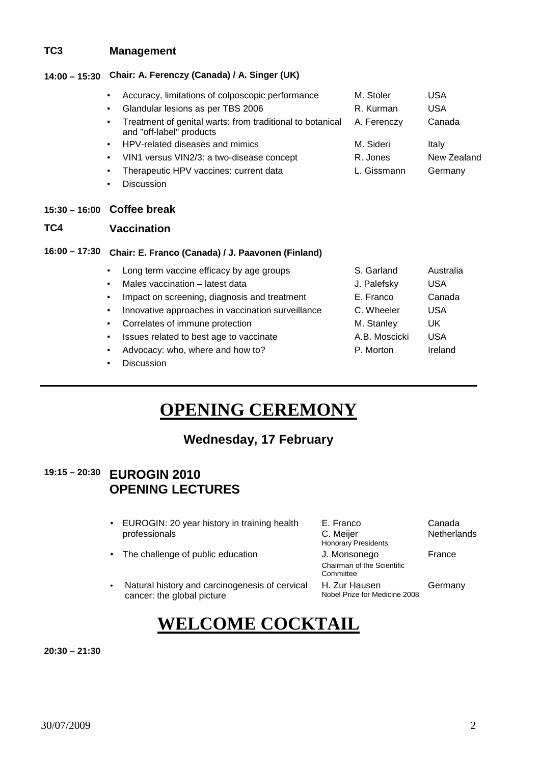#### **TC3 Management**

#### **14:00 – 15:30 Chair: A. Ferenczy (Canada) / A. Singer (UK)**

| Accuracy, limitations of colposcopic performance<br>$\bullet$                                      | M. Stoler   | USA         |
|----------------------------------------------------------------------------------------------------|-------------|-------------|
| Glandular lesions as per TBS 2006<br>$\bullet$                                                     | R. Kurman   | USA         |
| Treatment of genital warts: from traditional to botanical<br>$\bullet$<br>and "off-label" products | A. Ferenczy | Canada      |
| • HPV-related diseases and mimics                                                                  | M. Sideri   | Italy       |
| VIN1 versus VIN2/3: a two-disease concept<br>$\bullet$                                             | R. Jones    | New Zealand |
| Therapeutic HPV vaccines: current data<br>$\bullet$                                                | L. Gissmann | Germany     |
| Discussion                                                                                         |             |             |

#### **15:30 – 16:00 Coffee break**

#### **TC4 Vaccination**

#### **16:00 – 17:30 Chair: E. Franco (Canada) / J. Paavonen (Finland)**

| $\bullet$ | Long term vaccine efficacy by age groups          | S. Garland    | Australia  |
|-----------|---------------------------------------------------|---------------|------------|
|           | Males vaccination - latest data                   | J. Palefsky   | USA        |
| $\bullet$ | Impact on screening, diagnosis and treatment      | E. Franco     | Canada     |
| $\bullet$ | Innovative approaches in vaccination surveillance | C. Wheeler    | USA        |
| $\bullet$ | Correlates of immune protection                   | M. Stanley    | UK         |
| $\bullet$ | Issues related to best age to vaccinate           | A.B. Moscicki | <b>USA</b> |
|           | Advocacy: who, where and how to?                  | P. Morton     | Ireland    |

**Discussion** 

# **OPENING CEREMONY**

## **Wednesday, 17 February**

# **19:15 – 20:30 EUROGIN 2010 OPENING LECTURES**

- EUROGIN: 20 year history in training health professionals
- The challenge of public education **J. Monsonego**
- Natural history and carcinogenesis of cervical cancer: the global picture
- E. Franco C. Meijer Honorary Presidents

H. Zur Hausen

Chairman of the Scientific **Committee** 

Nobel Prize for Medicine 2008

Canada **Netherlands** 

France

Germany

# **WELCOME COCKTAIL**

**20:30 – 21:30**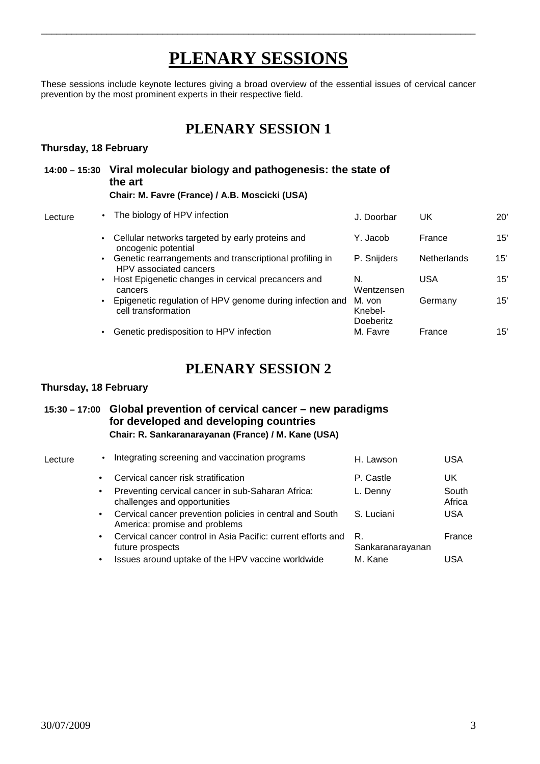# **PLENARY SESSIONS**

\_\_\_\_\_\_\_\_\_\_\_\_\_\_\_\_\_\_\_\_\_\_\_\_\_\_\_\_\_\_\_\_\_\_\_\_\_\_\_\_\_\_\_\_\_\_\_\_\_\_\_\_\_\_\_\_\_\_\_\_\_\_\_\_\_\_\_\_\_\_\_\_\_\_\_\_\_\_\_\_\_\_\_\_\_\_

These sessions include keynote lectures giving a broad overview of the essential issues of cervical cancer prevention by the most prominent experts in their respective field.

# **PLENARY SESSION 1**

#### **Thursday, 18 February**

|         |  | 14:00 – 15:30 Viral molecular biology and pathogenesis: the state of<br>the art<br>Chair: M. Favre (France) / A.B. Moscicki (USA) |  |            |        |              |  |
|---------|--|-----------------------------------------------------------------------------------------------------------------------------------|--|------------|--------|--------------|--|
| Lecture |  | • The biology of HPV infection                                                                                                    |  | J. Doorbar | UK     | $20^{\circ}$ |  |
|         |  | • Cellular networks targeted by early proteins and<br>oncogenic potential                                                         |  | Y. Jacob   | France | 15'          |  |

- Genetic rearrangements and transcriptional profiling in HPV associated cancers P. Snijders Netherlands 15' • Host Epigenetic changes in cervical precancers and N. USA 15'
- cancers Wentzensen • Epigenetic regulation of HPV genome during infection and M. von cell transformation Knebel-Germany 15'

Doeberitz

• Genetic predisposition to HPV infection M. Favre France 15'

## **PLENARY SESSION 2**

#### **Thursday, 18 February**

### **15:30 – 17:00 Global prevention of cervical cancer – new paradigms for developed and developing countries Chair: R. Sankaranarayanan (France) / M. Kane (USA)**

| Lecture | $\bullet$ | Integrating screening and vaccination programs                                            | H. Lawson              | <b>USA</b>      |
|---------|-----------|-------------------------------------------------------------------------------------------|------------------------|-----------------|
|         | $\bullet$ | Cervical cancer risk stratification                                                       | P. Castle              | UK              |
|         | $\bullet$ | Preventing cervical cancer in sub-Saharan Africa:<br>challenges and opportunities         | L. Denny               | South<br>Africa |
|         | $\bullet$ | Cervical cancer prevention policies in central and South<br>America: promise and problems | S. Luciani             | <b>USA</b>      |
|         | $\bullet$ | Cervical cancer control in Asia Pacific: current efforts and<br>future prospects          | R.<br>Sankaranarayanan | France          |
|         |           | Issues around uptake of the HPV vaccine worldwide                                         | M. Kane                | USA             |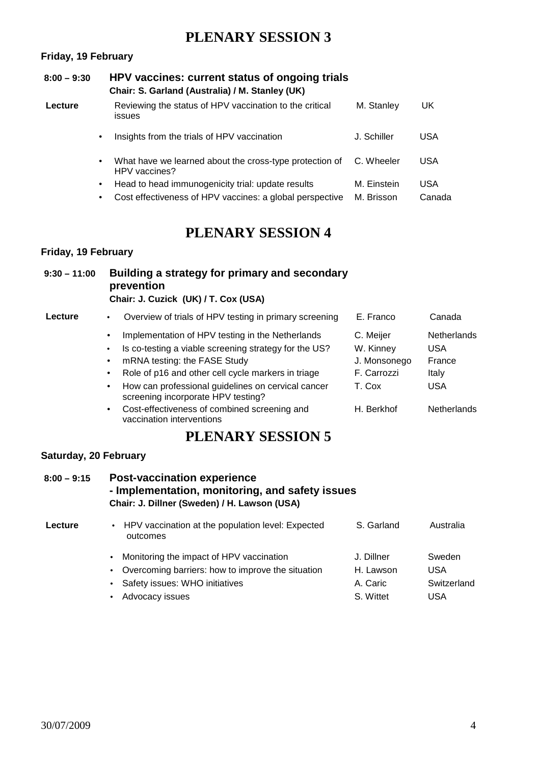# **PLENARY SESSION 3**

#### **Friday, 19 February**

| $8:00 - 9:30$ |           | HPV vaccines: current status of ongoing trials<br>Chair: S. Garland (Australia) / M. Stanley (UK) |             |            |
|---------------|-----------|---------------------------------------------------------------------------------------------------|-------------|------------|
| Lecture       |           | Reviewing the status of HPV vaccination to the critical<br><b>issues</b>                          | M. Stanley  | UK         |
|               | $\bullet$ | Insights from the trials of HPV vaccination                                                       | J. Schiller | <b>USA</b> |
|               | ٠         | What have we learned about the cross-type protection of<br>HPV vaccines?                          | C. Wheeler  | <b>USA</b> |
|               | ٠         | Head to head immunogenicity trial: update results                                                 | M. Einstein | <b>USA</b> |
|               | ٠         | Cost effectiveness of HPV vaccines: a global perspective                                          | M. Brisson  | Canada     |

# **PLENARY SESSION 4**

#### **Friday, 19 February**

| $9:30 - 11:00$ | Building a strategy for primary and secondary<br>prevention<br>Chair: J. Cuzick (UK) / T. Cox (USA) |                             |                  |
|----------------|-----------------------------------------------------------------------------------------------------|-----------------------------|------------------|
| Lecture        | Overview of trials of HPV testing in primary screening                                              | E. Franco                   | Canada           |
|                | المام مرمام مرابط والمسابق والمناسبة والمتحال فالمتال والمستقرر والمستحدث والمرمودا                 | $\sim$ $\sim$ $\sim$ $\sim$ | بساحية والمساباة |

| $\bullet$ | Implementation of HPV testing in the Netherlands                                         | C. Meijer    | <b>Netherlands</b> |
|-----------|------------------------------------------------------------------------------------------|--------------|--------------------|
| $\bullet$ | Is co-testing a viable screening strategy for the US?                                    | W. Kinney    | <b>USA</b>         |
| $\bullet$ | mRNA testing: the FASE Study                                                             | J. Monsonego | France             |
| $\bullet$ | Role of p16 and other cell cycle markers in triage                                       | F. Carrozzi  | Italy              |
| $\bullet$ | How can professional guidelines on cervical cancer<br>screening incorporate HPV testing? | T. Cox       | <b>USA</b>         |
| $\bullet$ | Cost-effectiveness of combined screening and<br>vaccination interventions                | H. Berkhof   | Netherlands        |

# **PLENARY SESSION 5**

#### **Saturday, 20 February**

### **8:00 – 9:15 Post-vaccination experience - Implementation, monitoring, and safety issues Chair: J. Dillner (Sweden) / H. Lawson (USA)**

| Lecture | • HPV vaccination at the population level: Expected<br>outcomes | S. Garland | Australia   |
|---------|-----------------------------------------------------------------|------------|-------------|
|         | • Monitoring the impact of HPV vaccination                      | J. Dillner | Sweden      |
|         | • Overcoming barriers: how to improve the situation             | H. Lawson  | <b>USA</b>  |
|         | • Safety issues: WHO initiatives                                | A. Caric   | Switzerland |
|         | • Advocacy issues                                               | S. Wittet  | <b>USA</b>  |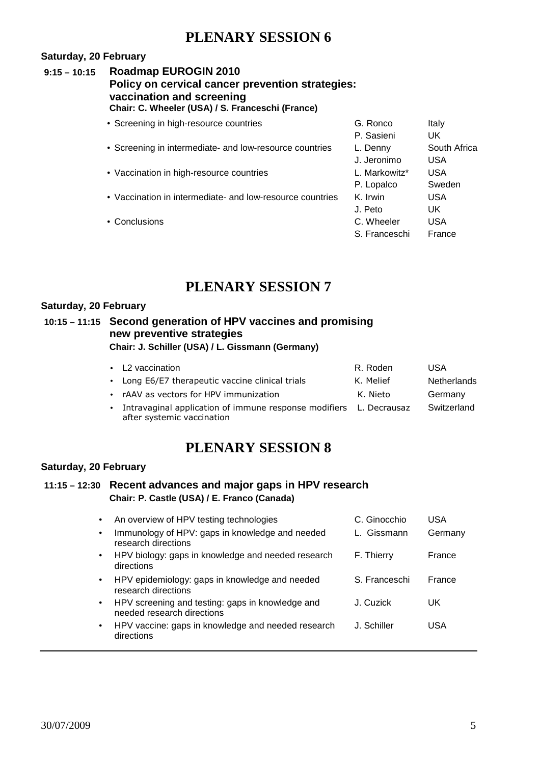## **PLENARY SESSION 6**

#### **Saturday, 20 February**

### **9:15 – 10:15 Roadmap EUROGIN 2010 Policy on cervical cancer prevention strategies: vaccination and screening Chair: C. Wheeler (USA) / S. Franceschi (France)**

| • Screening in high-resource countries                    | G. Ronco      | Italy        |
|-----------------------------------------------------------|---------------|--------------|
|                                                           | P. Sasieni    | UK           |
| • Screening in intermediate- and low-resource countries   | L. Denny      | South Africa |
|                                                           | J. Jeronimo   | USA          |
| • Vaccination in high-resource countries                  | L. Markowitz* | <b>USA</b>   |
|                                                           | P. Lopalco    | Sweden       |
| • Vaccination in intermediate- and low-resource countries | K. Irwin      | <b>USA</b>   |
|                                                           | J. Peto       | UK.          |
| • Conclusions                                             | C. Wheeler    | <b>USA</b>   |
|                                                           | S. Franceschi | France       |
|                                                           |               |              |

# **PLENARY SESSION 7**

#### **Saturday, 20 February**

#### **10:15 – 11:15 Second generation of HPV vaccines and promising new preventive strategies Chair: J. Schiller (USA) / L. Gissmann (Germany)**

| • L2 vaccination                                                                                 | R. Roden  | USA                |
|--------------------------------------------------------------------------------------------------|-----------|--------------------|
| • Long E6/E7 therapeutic vaccine clinical trials                                                 | K. Melief | <b>Netherlands</b> |
| • rAAV as vectors for HPV immunization                                                           | K. Nieto  | Germany            |
| Intravaginal application of immune response modifiers L. Decrausaz<br>after systemic vaccination |           | Switzerland        |

## **PLENARY SESSION 8**

#### **Saturday, 20 February**

#### **11:15 – 12:30 Recent advances and major gaps in HPV research Chair: P. Castle (USA) / E. Franco (Canada)**

| $\bullet$ | An overview of HPV testing technologies                                        | C. Ginocchio  | USA     |
|-----------|--------------------------------------------------------------------------------|---------------|---------|
| $\bullet$ | Immunology of HPV: gaps in knowledge and needed<br>research directions         | L. Gissmann   | Germany |
| $\bullet$ | HPV biology: gaps in knowledge and needed research<br>directions               | F. Thierry    | France  |
| $\bullet$ | HPV epidemiology: gaps in knowledge and needed<br>research directions          | S. Franceschi | France  |
| $\bullet$ | HPV screening and testing: gaps in knowledge and<br>needed research directions | J. Cuzick     | UK      |
| $\bullet$ | HPV vaccine: gaps in knowledge and needed research<br>directions               | J. Schiller   | USA     |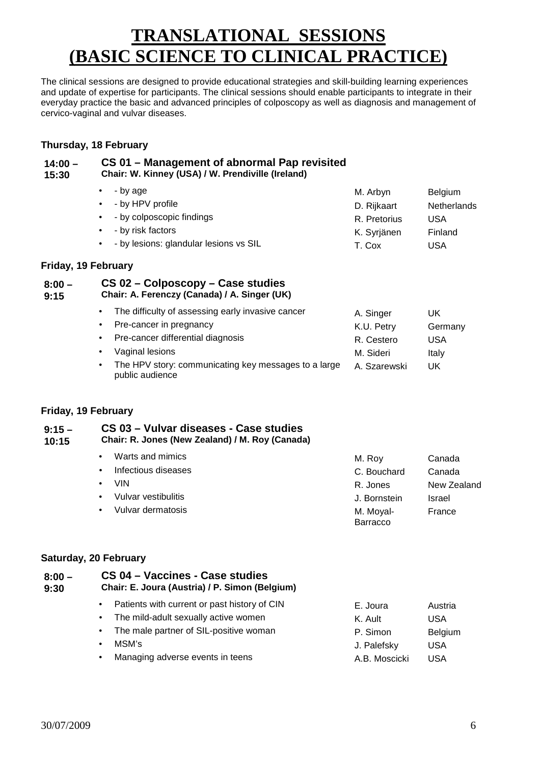# **TRANSLATIONAL SESSIONS (BASIC SCIENCE TO CLINICAL PRACTICE)**

The clinical sessions are designed to provide educational strategies and skill-building learning experiences and update of expertise for participants. The clinical sessions should enable participants to integrate in their everyday practice the basic and advanced principles of colposcopy as well as diagnosis and management of cervico-vaginal and vulvar diseases.

#### **Thursday, 18 February**

| $14:00 -$<br>15:30  | CS 01 - Management of abnormal Pap revisited<br>Chair: W. Kinney (USA) / W. Prendiville (Ireland)                                                                                                                                                                                |                                                                                   |                                                                      |
|---------------------|----------------------------------------------------------------------------------------------------------------------------------------------------------------------------------------------------------------------------------------------------------------------------------|-----------------------------------------------------------------------------------|----------------------------------------------------------------------|
|                     | - by age<br>$\bullet$<br>- by HPV profile<br>$\bullet$<br>- by colposcopic findings<br>$\bullet$<br>- by risk factors<br>$\bullet$<br>- by lesions: glandular lesions vs SIL                                                                                                     | M. Arbyn<br>D. Rijkaart<br>R. Pretorius<br>K. Syrjänen<br>T. Cox                  | <b>Belgium</b><br>Netherlands<br><b>USA</b><br>Finland<br><b>USA</b> |
| Friday, 19 February |                                                                                                                                                                                                                                                                                  |                                                                                   |                                                                      |
| $8:00 -$<br>9:15    | CS 02 – Colposcopy – Case studies<br>Chair: A. Ferenczy (Canada) / A. Singer (UK)                                                                                                                                                                                                |                                                                                   |                                                                      |
|                     | The difficulty of assessing early invasive cancer<br>$\bullet$<br>Pre-cancer in pregnancy<br>$\bullet$<br>Pre-cancer differential diagnosis<br>$\bullet$<br>Vaginal lesions<br>$\bullet$<br>The HPV story: communicating key messages to a large<br>$\bullet$<br>public audience | A. Singer<br>K.U. Petry<br>R. Cestero<br>M. Sideri<br>A. Szarewski                | UK<br>Germany<br><b>USA</b><br>Italy<br>UK                           |
| Friday, 19 February |                                                                                                                                                                                                                                                                                  |                                                                                   |                                                                      |
| $9:15 -$<br>10:15   | CS 03 - Vulvar diseases - Case studies<br>Chair: R. Jones (New Zealand) / M. Roy (Canada)                                                                                                                                                                                        |                                                                                   |                                                                      |
|                     | Warts and mimics<br>$\bullet$<br>Infectious diseases<br>$\bullet$<br><b>VIN</b><br>$\bullet$<br>Vulvar vestibulitis<br>$\bullet$<br>Vulvar dermatosis<br>$\bullet$                                                                                                               | M. Roy<br>C. Bouchard<br>R. Jones<br>J. Bornstein<br>M. Moyal-<br><b>Barracco</b> | Canada<br>Canada<br>New Zealand<br>Israel<br>France                  |
|                     | Saturday, 20 February                                                                                                                                                                                                                                                            |                                                                                   |                                                                      |
| $8:00 -$<br>9:30    | CS 04 - Vaccines - Case studies<br>Chair: E. Joura (Austria) / P. Simon (Belgium)                                                                                                                                                                                                |                                                                                   |                                                                      |
|                     | Patients with current or past history of CIN<br>$\bullet$<br>The mild-adult sexually active women<br>$\bullet$<br>The male partner of SIL-positive woman                                                                                                                         | E. Joura<br>K. Ault<br>P. Simon                                                   | Austria<br><b>USA</b><br>Belgium                                     |

• MSM's J. Palefsky USA Managing adverse events in teens A.B. Moscicki USA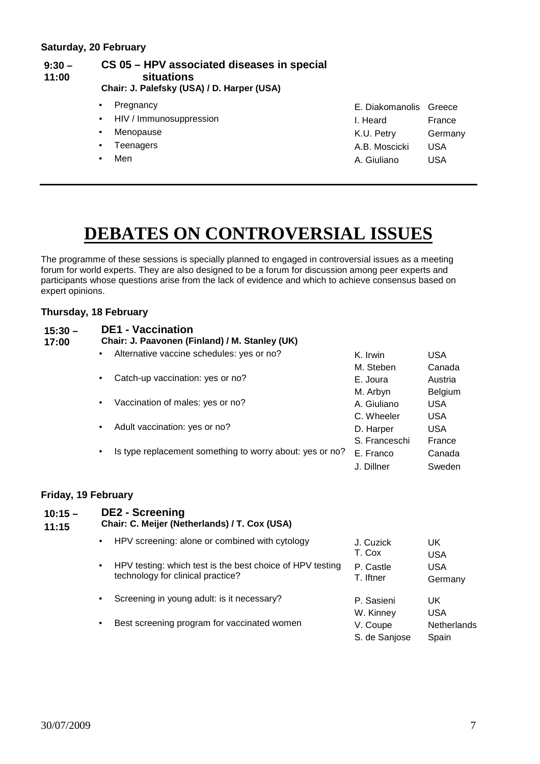#### **9:30 – 11:00 CS 05 – HPV associated diseases in special situations**

- **Chair: J. Palefsky (USA) / D. Harper (USA)** 
	-
	- HIV / Immunosuppression
	- Menopause
	-
	-

|           | • Pregnancy               | E. Diakomanolis Greece |            |
|-----------|---------------------------|------------------------|------------|
|           | • HIV / Immunosuppression | I. Heard               | France     |
|           | • Menopause               | K.U. Petry             | Germany    |
|           | • Teenagers               | A.B. Moscicki          | <b>USA</b> |
| $\bullet$ | Men                       | A. Giuliano            | <b>USA</b> |
|           |                           |                        |            |

# **DEBATES ON CONTROVERSIAL ISSUES**

The programme of these sessions is specially planned to engaged in controversial issues as a meeting forum for world experts. They are also designed to be a forum for discussion among peer experts and participants whose questions arise from the lack of evidence and which to achieve consensus based on expert opinions.

#### **Thursday, 18 February**

| $15:30 -$<br>17:00 | <b>DE1 - Vaccination</b><br>Chair: J. Paavonen (Finland) / M. Stanley (UK) |                                                          |               |            |  |  |  |
|--------------------|----------------------------------------------------------------------------|----------------------------------------------------------|---------------|------------|--|--|--|
|                    | $\bullet$                                                                  | Alternative vaccine schedules: yes or no?                | K. Irwin      | <b>USA</b> |  |  |  |
|                    |                                                                            |                                                          | M. Steben     | Canada     |  |  |  |
|                    | $\bullet$                                                                  | Catch-up vaccination: yes or no?                         | E. Joura      | Austria    |  |  |  |
|                    |                                                                            |                                                          | M. Arbyn      | Belgium    |  |  |  |
|                    | $\bullet$                                                                  | Vaccination of males: yes or no?                         | A. Giuliano   | USA        |  |  |  |
|                    |                                                                            |                                                          | C. Wheeler    | <b>USA</b> |  |  |  |
|                    | $\bullet$                                                                  | Adult vaccination: yes or no?                            | D. Harper     | <b>USA</b> |  |  |  |
|                    |                                                                            |                                                          | S. Franceschi | France     |  |  |  |
|                    | $\bullet$                                                                  | Is type replacement something to worry about: yes or no? | E. Franco     | Canada     |  |  |  |
|                    |                                                                            |                                                          | J. Dillner    | Sweden     |  |  |  |
|                    |                                                                            |                                                          |               |            |  |  |  |

#### **Friday, 19 February**

| $10:15 -$<br>11:15 | <b>DE2 - Screening</b><br>Chair: C. Meijer (Netherlands) / T. Cox (USA) |                                                                                                |                           |                             |  |  |
|--------------------|-------------------------------------------------------------------------|------------------------------------------------------------------------------------------------|---------------------------|-----------------------------|--|--|
|                    | $\bullet$                                                               | HPV screening: alone or combined with cytology                                                 | J. Cuzick<br>T. Cox       | UK.<br>USA                  |  |  |
|                    | $\bullet$                                                               | HPV testing: which test is the best choice of HPV testing<br>technology for clinical practice? | P. Castle<br>T. Iftner    | <b>USA</b><br>Germany       |  |  |
|                    | $\bullet$                                                               | Screening in young adult: is it necessary?                                                     | P. Sasieni<br>W. Kinney   | UK.<br><b>USA</b>           |  |  |
|                    | $\bullet$                                                               | Best screening program for vaccinated women                                                    | V. Coupe<br>S. de Sanjose | <b>Netherlands</b><br>Spain |  |  |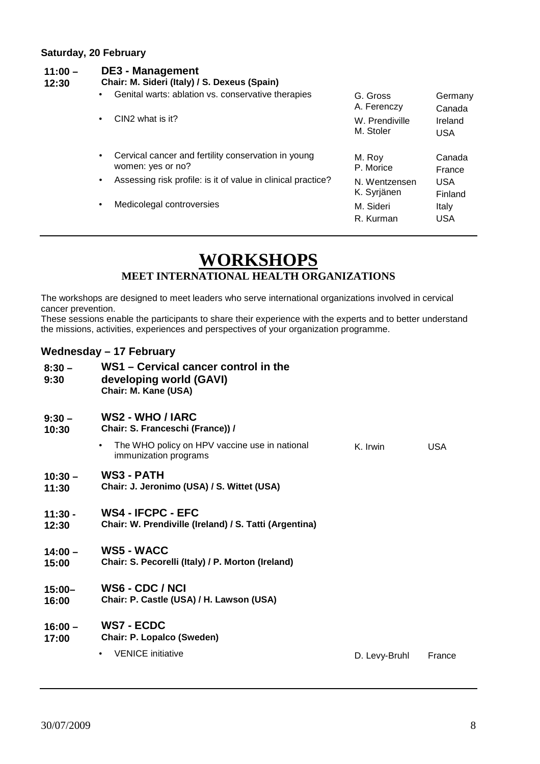#### **Saturday, 20 February**

| $11:00 -$<br>12:30 | <b>DE3 - Management</b><br>Chair: M. Sideri (Italy) / S. Dexeus (Spain)               |                         |                   |  |  |  |  |
|--------------------|---------------------------------------------------------------------------------------|-------------------------|-------------------|--|--|--|--|
|                    | Genital warts: ablation vs. conservative therapies<br>$\bullet$                       | G. Gross<br>A. Ferenczy | Germany<br>Canada |  |  |  |  |
|                    | CIN2 what is it?                                                                      | W. Prendiville          | Ireland           |  |  |  |  |
|                    | $\bullet$                                                                             | M. Stoler               | USA               |  |  |  |  |
|                    | Cervical cancer and fertility conservation in young<br>$\bullet$<br>women: yes or no? | M. Roy<br>P. Morice     | Canada<br>France  |  |  |  |  |
|                    | Assessing risk profile: is it of value in clinical practice?                          | N. Wentzensen           | <b>USA</b>        |  |  |  |  |
|                    | $\bullet$                                                                             | K. Syrjänen             | Finland           |  |  |  |  |
|                    | Medicolegal controversies                                                             | M. Sideri               | Italy             |  |  |  |  |
|                    | $\bullet$                                                                             | R. Kurman               | USA               |  |  |  |  |

# **WORKSHOPS**

## **MEET INTERNATIONAL HEALTH ORGANIZATIONS**

The workshops are designed to meet leaders who serve international organizations involved in cervical cancer prevention.

These sessions enable the participants to share their experience with the experts and to better understand the missions, activities, experiences and perspectives of your organization programme.

#### **Wednesday – 17 February**

| $8:30 -$<br>9:30   | WS1 - Cervical cancer control in the<br>developing world (GAVI)<br>Chair: M. Kane (USA) |               |            |
|--------------------|-----------------------------------------------------------------------------------------|---------------|------------|
| $9:30 -$<br>10:30  | <b>WS2 - WHO / IARC</b><br>Chair: S. Franceschi (France)) /                             |               |            |
|                    | The WHO policy on HPV vaccine use in national<br>$\bullet$<br>immunization programs     | K. Irwin      | <b>USA</b> |
| $10:30 -$<br>11:30 | <b>WS3 - PATH</b><br>Chair: J. Jeronimo (USA) / S. Wittet (USA)                         |               |            |
| $11:30 -$<br>12:30 | <b>WS4 - IFCPC - EFC</b><br>Chair: W. Prendiville (Ireland) / S. Tatti (Argentina)      |               |            |
| $14:00 -$<br>15:00 | <b>WS5 - WACC</b><br>Chair: S. Pecorelli (Italy) / P. Morton (Ireland)                  |               |            |
| $15:00 -$<br>16:00 | WS6 - CDC / NCI<br>Chair: P. Castle (USA) / H. Lawson (USA)                             |               |            |
| $16:00 -$<br>17:00 | <b>WS7 - ECDC</b><br><b>Chair: P. Lopalco (Sweden)</b>                                  |               |            |
|                    | <b>VENICE</b> initiative<br>$\bullet$                                                   | D. Levy-Bruhl | France     |
|                    |                                                                                         |               |            |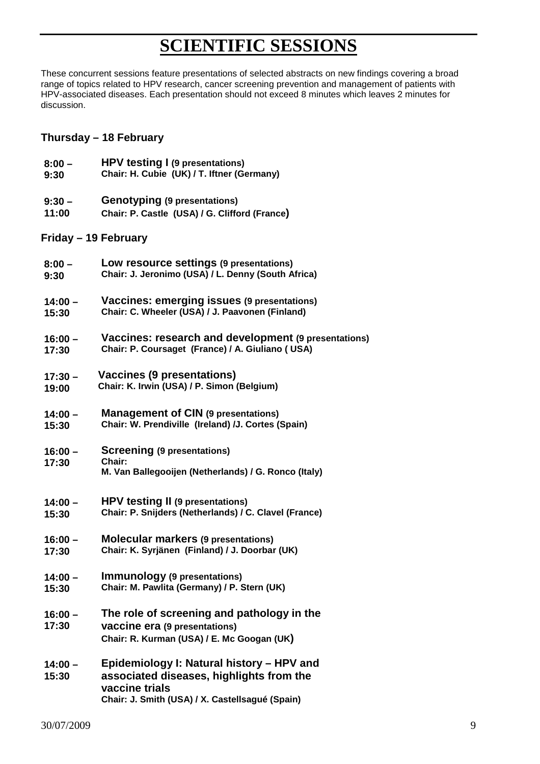# **SCIENTIFIC SESSIONS**

These concurrent sessions feature presentations of selected abstracts on new findings covering a broad range of topics related to HPV research, cancer screening prevention and management of patients with HPV-associated diseases. Each presentation should not exceed 8 minutes which leaves 2 minutes for discussion.

### **Thursday – 18 February**

- **8:00 HPV testing I (9 presentations)**
- **9:30 Chair: H. Cubie (UK) / T. Iftner (Germany)**
- **9:30 Genotyping (9 presentations)**
- **11:00 Chair: P. Castle (USA) / G. Clifford (France)**

### **Friday – 19 February**

- **8:00 Low resource settings (9 presentations)**
- **9:30 Chair: J. Jeronimo (USA) / L. Denny (South Africa)**
- $14:00 -$ **Vaccines: emerging issues (9 presentations)**
- **15:30 Chair: C. Wheeler (USA) / J. Paavonen (Finland)**
- **16:00 Vaccines: research and development (9 presentations)**
- **17:30 Chair: P. Coursaget (France) / A. Giuliano ( USA)**
- **17:30 Vaccines (9 presentations)**
- **19:00 Chair: K. Irwin (USA) / P. Simon (Belgium)**
- **14:00 Management of CIN (9 presentations)**
- **15:30 Chair: W. Prendiville (Ireland) /J. Cortes (Spain)**
- **16:00 17:30 Screening (9 presentations) Chair: M. Van Ballegooijen (Netherlands) / G. Ronco (Italy)**
- **14:00 HPV testing II (9 presentations)**
- **15:30 Chair: P. Snijders (Netherlands) / C. Clavel (France)**
- **16:00 Molecular markers (9 presentations)**
- **17:30 Chair: K. Syrjänen (Finland) / J. Doorbar (UK)**

#### **14:00 – Immunology (9 presentations)**

- **15:30 Chair: M. Pawlita (Germany) / P. Stern (UK)**
- **16:00 17:30 The role of screening and pathology in the vaccine era (9 presentations) Chair: R. Kurman (USA) / E. Mc Googan (UK)**
- **14:00 15:30 Epidemiology I: Natural history – HPV and associated diseases, highlights from the vaccine trials Chair: J. Smith (USA) / X. Castellsagué (Spain)**